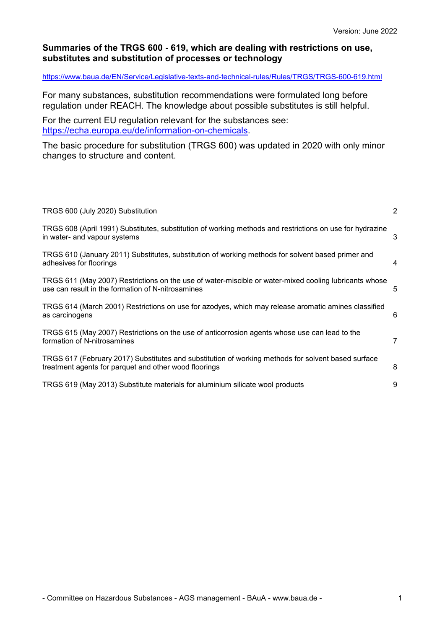### **Summaries of the TRGS 600 - 619, which are dealing with restrictions on use, substitutes and substitution of processes or technology**

#### <https://www.baua.de/EN/Service/Legislative-texts-and-technical-rules/Rules/TRGS/TRGS-600-619.html>

For many substances, substitution recommendations were formulated long before regulation under REACH. The knowledge about possible substitutes is still helpful.

For the current EU regulation relevant for the substances see: [https://echa.europa.eu/de/information-on-chemicals.](https://echa.europa.eu/de/information-on-chemicals)

The basic procedure for substitution (TRGS 600) was updated in 2020 with only minor changes to structure and content.

| TRGS 600 (July 2020) Substitution                                                                                                                           | $\overline{2}$ |
|-------------------------------------------------------------------------------------------------------------------------------------------------------------|----------------|
| TRGS 608 (April 1991) Substitutes, substitution of working methods and restrictions on use for hydrazine<br>in water- and vapour systems                    | 3              |
| TRGS 610 (January 2011) Substitutes, substitution of working methods for solvent based primer and<br>adhesives for floorings                                | $\overline{4}$ |
| TRGS 611 (May 2007) Restrictions on the use of water-miscible or water-mixed cooling lubricants whose<br>use can result in the formation of N-nitrosamines  | 5              |
| TRGS 614 (March 2001) Restrictions on use for azodyes, which may release aromatic amines classified<br>as carcinogens                                       | 6              |
| TRGS 615 (May 2007) Restrictions on the use of anticorrosion agents whose use can lead to the<br>formation of N-nitrosamines                                | 7              |
| TRGS 617 (February 2017) Substitutes and substitution of working methods for solvent based surface<br>treatment agents for parquet and other wood floorings | 8              |
| TRGS 619 (May 2013) Substitute materials for aluminium silicate wool products                                                                               | 9              |
|                                                                                                                                                             |                |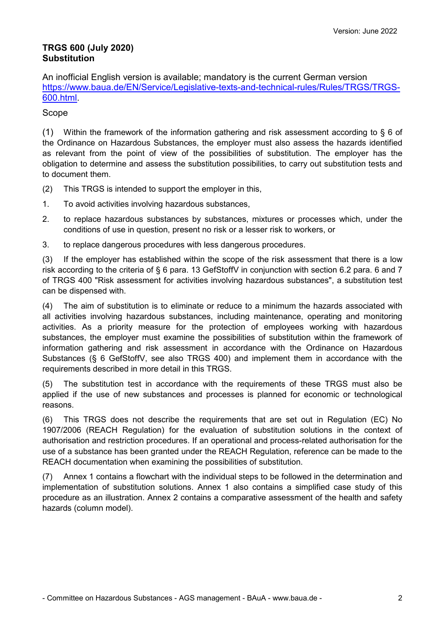## **TRGS 600 (July 2020) Substitution**

An inofficial English version is available; mandatory is the current German version [https://www.baua.de/EN/Service/Legislative-texts-and-technical-rules/Rules/TRGS/TRGS-](https://www.baua.de/EN/Service/Legislative-texts-and-technical-rules/Rules/TRGS/TRGS-600.html)[600.html.](https://www.baua.de/EN/Service/Legislative-texts-and-technical-rules/Rules/TRGS/TRGS-600.html)

#### Scope

(1) Within the framework of the information gathering and risk assessment according to  $\S$  6 of the Ordinance on Hazardous Substances, the employer must also assess the hazards identified as relevant from the point of view of the possibilities of substitution. The employer has the obligation to determine and assess the substitution possibilities, to carry out substitution tests and to document them.

- (2) This TRGS is intended to support the employer in this,
- 1. To avoid activities involving hazardous substances,
- 2. to replace hazardous substances by substances, mixtures or processes which, under the conditions of use in question, present no risk or a lesser risk to workers, or
- 3. to replace dangerous procedures with less dangerous procedures.

(3) If the employer has established within the scope of the risk assessment that there is a low risk according to the criteria of § 6 para. 13 GefStoffV in conjunction with section 6.2 para. 6 and 7 of TRGS 400 "Risk assessment for activities involving hazardous substances", a substitution test can be dispensed with.

(4) The aim of substitution is to eliminate or reduce to a minimum the hazards associated with all activities involving hazardous substances, including maintenance, operating and monitoring activities. As a priority measure for the protection of employees working with hazardous substances, the employer must examine the possibilities of substitution within the framework of information gathering and risk assessment in accordance with the Ordinance on Hazardous Substances (§ 6 GefStoffV, see also TRGS 400) and implement them in accordance with the requirements described in more detail in this TRGS.

(5) The substitution test in accordance with the requirements of these TRGS must also be applied if the use of new substances and processes is planned for economic or technological reasons.

(6) This TRGS does not describe the requirements that are set out in Regulation (EC) No 1907/2006 (REACH Regulation) for the evaluation of substitution solutions in the context of authorisation and restriction procedures. If an operational and process-related authorisation for the use of a substance has been granted under the REACH Regulation, reference can be made to the REACH documentation when examining the possibilities of substitution.

(7) Annex 1 contains a flowchart with the individual steps to be followed in the determination and implementation of substitution solutions. Annex 1 also contains a simplified case study of this procedure as an illustration. Annex 2 contains a comparative assessment of the health and safety hazards (column model).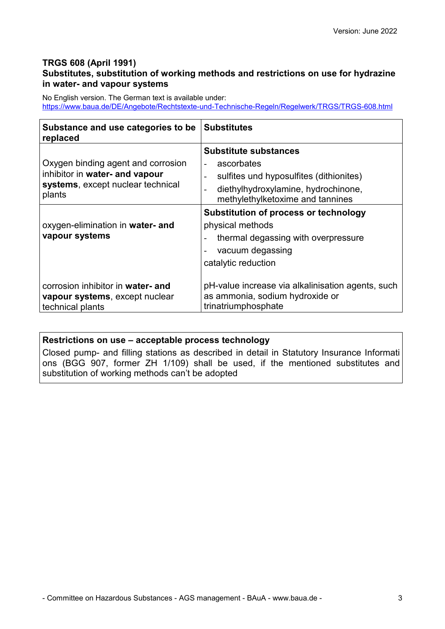### **TRGS 608 (April 1991)**

# **Substitutes, substitution of working methods and restrictions on use for hydrazine in water- and vapour systems**

No English version. The German text is available under: <https://www.baua.de/DE/Angebote/Rechtstexte-und-Technische-Regeln/Regelwerk/TRGS/TRGS-608.html>

| Substance and use categories to be<br>replaced                                                                      | <b>Substitutes</b>                                                                                                                                               |
|---------------------------------------------------------------------------------------------------------------------|------------------------------------------------------------------------------------------------------------------------------------------------------------------|
| Oxygen binding agent and corrosion<br>inhibitor in water- and vapour<br>systems, except nuclear technical<br>plants | <b>Substitute substances</b><br>ascorbates<br>sulfites und hyposulfites (dithionites)<br>diethylhydroxylamine, hydrochinone,<br>methylethylketoxime and tannines |
| oxygen-elimination in water- and<br>vapour systems                                                                  | Substitution of process or technology<br>physical methods<br>thermal degassing with overpressure<br>vacuum degassing<br>catalytic reduction                      |
| corrosion inhibitor in water- and<br>vapour systems, except nuclear<br>technical plants                             | pH-value increase via alkalinisation agents, such<br>as ammonia, sodium hydroxide or<br>trinatriumphosphate                                                      |

### **Restrictions on use – acceptable process technology**

Closed pump- and filling stations as described in detail in Statutory Insurance Informati ons (BGG 907, former ZH 1/109) shall be used, if the mentioned substitutes and substitution of working methods can't be adopted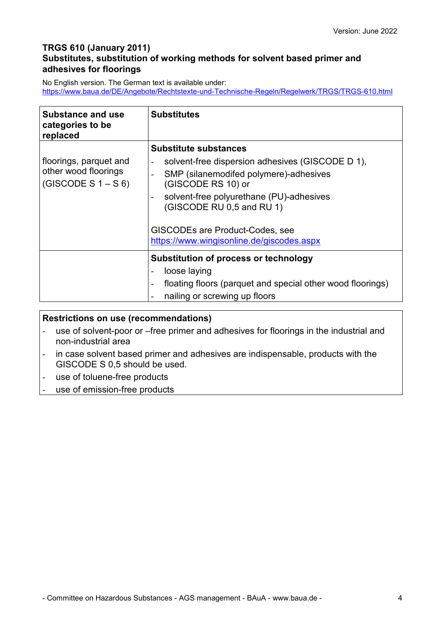# **TRGS 610 (January 2011) Substitutes, substitution of working methods for solvent based primer and adhesives for floorings**

No English version. The German text is available under: <https://www.baua.de/DE/Angebote/Rechtstexte-und-Technische-Regeln/Regelwerk/TRGS/TRGS-610.html>

| <b>Substance and use</b><br>categories to be<br>replaced                 | <b>Substitutes</b>                                                                                                                                                                                                                                                                                        |
|--------------------------------------------------------------------------|-----------------------------------------------------------------------------------------------------------------------------------------------------------------------------------------------------------------------------------------------------------------------------------------------------------|
| floorings, parquet and<br>other wood floorings<br>(GISCODE S $1 - S_6$ ) | <b>Substitute substances</b><br>solvent-free dispersion adhesives (GISCODE D 1),<br>SMP (silanemodifed polymere)-adhesives<br>(GISCODE RS 10) or<br>solvent-free polyurethane (PU)-adhesives<br>(GISCODE RU 0,5 and RU 1)<br>GISCODEs are Product-Codes, see<br>https://www.wingisonline.de/giscodes.aspx |
|                                                                          | <b>Substitution of process or technology</b><br>loose laying<br>floating floors (parquet and special other wood floorings)<br>nailing or screwing up floors                                                                                                                                               |

| <b>Restrictions on use (recommendations)</b> |                                                                                                              |  |  |
|----------------------------------------------|--------------------------------------------------------------------------------------------------------------|--|--|
|                                              | use of solvent-poor or –free primer and adhesives for floorings in the industrial and<br>non-industrial area |  |  |

- in case solvent based primer and adhesives are indispensable, products with the GISCODE S 0,5 should be used.
- use of toluene-free products
- use of emission-free products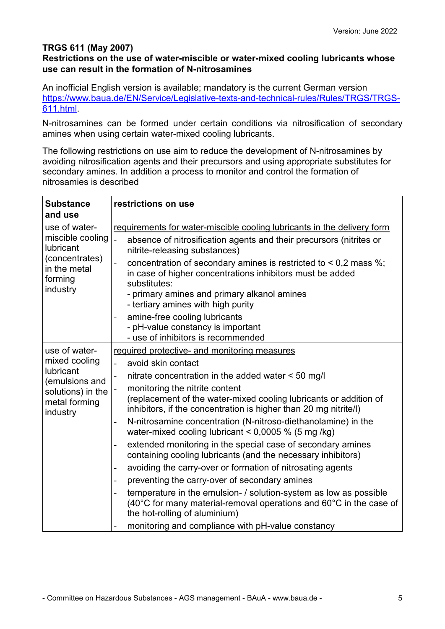# **TRGS 611 (May 2007)**

## **Restrictions on the use of water-miscible or water-mixed cooling lubricants whose use can result in the formation of N-nitrosamines**

An inofficial English version is available; mandatory is the current German version [https://www.baua.de/EN/Service/Legislative-texts-and-technical-rules/Rules/TRGS/TRGS-](https://www.baua.de/EN/Service/Legislative-texts-and-technical-rules/Rules/TRGS/TRGS-611.html)[611.html.](https://www.baua.de/EN/Service/Legislative-texts-and-technical-rules/Rules/TRGS/TRGS-611.html)

N-nitrosamines can be formed under certain conditions via nitrosification of secondary amines when using certain water-mixed cooling lubricants.

The following restrictions on use aim to reduce the development of N-nitrosamines by avoiding nitrosification agents and their precursors and using appropriate substitutes for secondary amines. In addition a process to monitor and control the formation of nitrosamies is described

| <b>Substance</b><br>and use                            | restrictions on use                                                                                                                                                                                 |
|--------------------------------------------------------|-----------------------------------------------------------------------------------------------------------------------------------------------------------------------------------------------------|
| use of water-                                          | requirements for water-miscible cooling lubricants in the delivery form                                                                                                                             |
| miscible cooling<br><b>lubricant</b><br>(concentrates) | absence of nitrosification agents and their precursors (nitrites or<br>$\overline{a}$<br>nitrite-releasing substances)<br>concentration of secondary amines is restricted to $< 0.2$ mass %;        |
| in the metal<br>forming<br>industry                    | in case of higher concentrations inhibitors must be added<br>substitutes:                                                                                                                           |
|                                                        | - primary amines and primary alkanol amines<br>- tertiary amines with high purity                                                                                                                   |
|                                                        | amine-free cooling lubricants<br>- pH-value constancy is important                                                                                                                                  |
|                                                        | - use of inhibitors is recommended                                                                                                                                                                  |
| use of water-                                          | required protective- and monitoring measures                                                                                                                                                        |
| mixed cooling                                          | avoid skin contact                                                                                                                                                                                  |
| <b>lubricant</b><br>(emulsions and                     | nitrate concentration in the added water < 50 mg/l<br>-                                                                                                                                             |
| solutions) in the                                      | monitoring the nitrite content                                                                                                                                                                      |
| metal forming<br>industry                              | (replacement of the water-mixed cooling lubricants or addition of<br>inhibitors, if the concentration is higher than 20 mg nitrite/l)                                                               |
|                                                        | N-nitrosamine concentration (N-nitroso-diethanolamine) in the<br>-<br>water-mixed cooling lubricant < $0,0005$ % (5 mg/kg)                                                                          |
|                                                        | extended monitoring in the special case of secondary amines<br>-<br>containing cooling lubricants (and the necessary inhibitors)                                                                    |
|                                                        | avoiding the carry-over or formation of nitrosating agents<br>-                                                                                                                                     |
|                                                        | preventing the carry-over of secondary amines                                                                                                                                                       |
|                                                        | temperature in the emulsion- / solution-system as low as possible<br>-<br>(40 $^{\circ}$ C for many material-removal operations and 60 $^{\circ}$ C in the case of<br>the hot-rolling of aluminium) |
|                                                        | monitoring and compliance with pH-value constancy                                                                                                                                                   |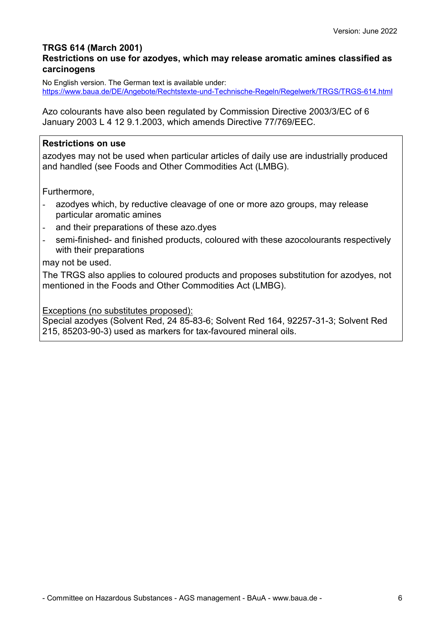## **TRGS 614 (March 2001)**

## **Restrictions on use for azodyes, which may release aromatic amines classified as carcinogens**

No English version. The German text is available under: <https://www.baua.de/DE/Angebote/Rechtstexte-und-Technische-Regeln/Regelwerk/TRGS/TRGS-614.html>

Azo colourants have also been regulated by Commission Directive 2003/3/EC of 6 January 2003 L 4 12 9.1.2003, which amends Directive 77/769/EEC.

## **Restrictions on use**

azodyes may not be used when particular articles of daily use are industrially produced and handled (see Foods and Other Commodities Act (LMBG).

Furthermore,

- azodyes which, by reductive cleavage of one or more azo groups, may release particular aromatic amines
- and their preparations of these azo.dyes
- semi-finished- and finished products, coloured with these azocolourants respectively with their preparations

may not be used.

The TRGS also applies to coloured products and proposes substitution for azodyes, not mentioned in the Foods and Other Commodities Act (LMBG).

Exceptions (no substitutes proposed):

Special azodyes (Solvent Red, 24 85-83-6; Solvent Red 164, 92257-31-3; Solvent Red 215, 85203-90-3) used as markers for tax-favoured mineral oils.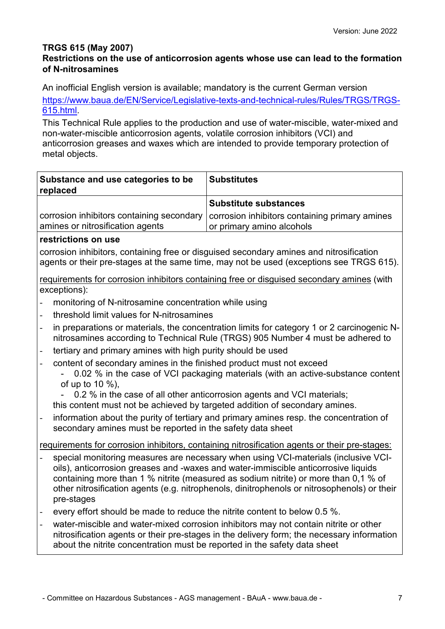# **TRGS 615 (May 2007)**

# **Restrictions on the use of anticorrosion agents whose use can lead to the formation of N-nitrosamines**

An inofficial English version is available; mandatory is the current German version [https://www.baua.de/EN/Service/Legislative-texts-and-technical-rules/Rules/TRGS/TRGS-](https://www.baua.de/EN/Service/Legislative-texts-and-technical-rules/Rules/TRGS/TRGS-615.html)[615.html.](https://www.baua.de/EN/Service/Legislative-texts-and-technical-rules/Rules/TRGS/TRGS-615.html)

This Technical Rule applies to the production and use of water-miscible, water-mixed and non-water-miscible anticorrosion agents, volatile corrosion inhibitors (VCI) and anticorrosion greases and waxes which are intended to provide temporary protection of metal objects.

|                                                                               | Substance and use categories to be<br>replaced                                                            | <b>Substitutes</b>                                                                                                                                                                                                                                                                                                                                             |
|-------------------------------------------------------------------------------|-----------------------------------------------------------------------------------------------------------|----------------------------------------------------------------------------------------------------------------------------------------------------------------------------------------------------------------------------------------------------------------------------------------------------------------------------------------------------------------|
|                                                                               |                                                                                                           | <b>Substitute substances</b>                                                                                                                                                                                                                                                                                                                                   |
| corrosion inhibitors containing secondary<br>amines or nitrosification agents |                                                                                                           | corrosion inhibitors containing primary amines<br>or primary amino alcohols                                                                                                                                                                                                                                                                                    |
|                                                                               | restrictions on use                                                                                       |                                                                                                                                                                                                                                                                                                                                                                |
|                                                                               |                                                                                                           | corrosion inhibitors, containing free or disguised secondary amines and nitrosification<br>agents or their pre-stages at the same time, may not be used (exceptions see TRGS 615).                                                                                                                                                                             |
|                                                                               | requirements for corrosion inhibitors containing free or disguised secondary amines (with<br>exceptions): |                                                                                                                                                                                                                                                                                                                                                                |
| $\overline{a}$                                                                | monitoring of N-nitrosamine concentration while using                                                     |                                                                                                                                                                                                                                                                                                                                                                |
| $\overline{a}$                                                                | threshold limit values for N-nitrosamines                                                                 |                                                                                                                                                                                                                                                                                                                                                                |
| $\overline{\phantom{a}}$                                                      |                                                                                                           | in preparations or materials, the concentration limits for category 1 or 2 carcinogenic N-<br>nitrosamines according to Technical Rule (TRGS) 905 Number 4 must be adhered to                                                                                                                                                                                  |
| $\blacksquare$                                                                | tertiary and primary amines with high purity should be used                                               |                                                                                                                                                                                                                                                                                                                                                                |
| $\frac{1}{2}$                                                                 | content of secondary amines in the finished product must not exceed<br>of up to 10 %),                    | 0.02 % in the case of VCI packaging materials (with an active-substance content                                                                                                                                                                                                                                                                                |
|                                                                               | this content must not be achieved by targeted addition of secondary amines.                               | 0.2 % in the case of all other anticorrosion agents and VCI materials;                                                                                                                                                                                                                                                                                         |
| $\blacksquare$                                                                | secondary amines must be reported in the safety data sheet                                                | information about the purity of tertiary and primary amines resp. the concentration of                                                                                                                                                                                                                                                                         |
|                                                                               |                                                                                                           | requirements for corrosion inhibitors, containing nitrosification agents or their pre-stages:                                                                                                                                                                                                                                                                  |
|                                                                               | pre-stages                                                                                                | special monitoring measures are necessary when using VCI-materials (inclusive VCI-<br>oils), anticorrosion greases and -waxes and water-immiscible anticorrosive liquids<br>containing more than 1 % nitrite (measured as sodium nitrite) or more than 0,1 % of<br>other nitrosification agents (e.g. nitrophenols, dinitrophenols or nitrosophenols) or their |
| $\overline{\phantom{a}}$                                                      | every effort should be made to reduce the nitrite content to below 0.5 %.                                 |                                                                                                                                                                                                                                                                                                                                                                |
|                                                                               | about the nitrite concentration must be reported in the safety data sheet                                 | water-miscible and water-mixed corrosion inhibitors may not contain nitrite or other<br>nitrosification agents or their pre-stages in the delivery form; the necessary information                                                                                                                                                                             |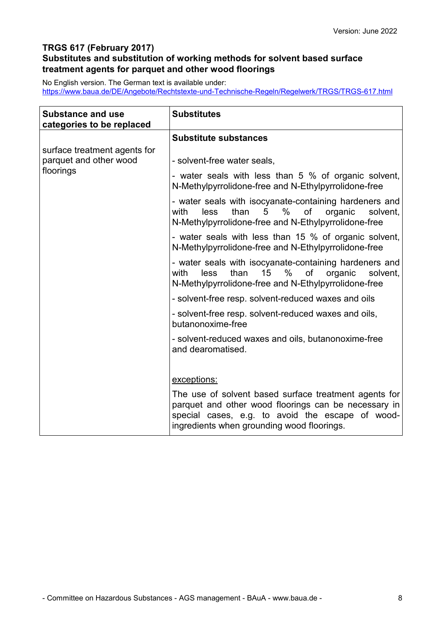# **TRGS 617 (February 2017) Substitutes and substitution of working methods for solvent based surface treatment agents for parquet and other wood floorings**

No English version. The German text is available under: <https://www.baua.de/DE/Angebote/Rechtstexte-und-Technische-Regeln/Regelwerk/TRGS/TRGS-617.html>

| <b>Substance and use</b><br>categories to be replaced  | <b>Substitutes</b>                                                                                                                                                                                              |
|--------------------------------------------------------|-----------------------------------------------------------------------------------------------------------------------------------------------------------------------------------------------------------------|
|                                                        | <b>Substitute substances</b>                                                                                                                                                                                    |
| surface treatment agents for<br>parquet and other wood | - solvent-free water seals,                                                                                                                                                                                     |
| floorings                                              | - water seals with less than 5 % of organic solvent,<br>N-Methylpyrrolidone-free and N-Ethylpyrrolidone-free                                                                                                    |
|                                                        | - water seals with isocyanate-containing hardeners and<br>$\%$<br>of<br>with<br>than<br>5<br>organic<br>solvent.<br>less<br>N-Methylpyrrolidone-free and N-Ethylpyrrolidone-free                                |
|                                                        | - water seals with less than 15 % of organic solvent,<br>N-Methylpyrrolidone-free and N-Ethylpyrrolidone-free                                                                                                   |
|                                                        | - water seals with isocyanate-containing hardeners and<br>$\%$<br>of<br>with<br>less<br>than<br>15<br>organic<br>solvent,<br>N-Methylpyrrolidone-free and N-Ethylpyrrolidone-free                               |
|                                                        | - solvent-free resp. solvent-reduced waxes and oils                                                                                                                                                             |
|                                                        | - solvent-free resp. solvent-reduced waxes and oils,<br>butanonoxime-free                                                                                                                                       |
|                                                        | - solvent-reduced waxes and oils, butanonoxime-free<br>and dearomatised.                                                                                                                                        |
|                                                        | exceptions:                                                                                                                                                                                                     |
|                                                        | The use of solvent based surface treatment agents for<br>parquet and other wood floorings can be necessary in<br>special cases, e.g. to avoid the escape of wood-<br>ingredients when grounding wood floorings. |